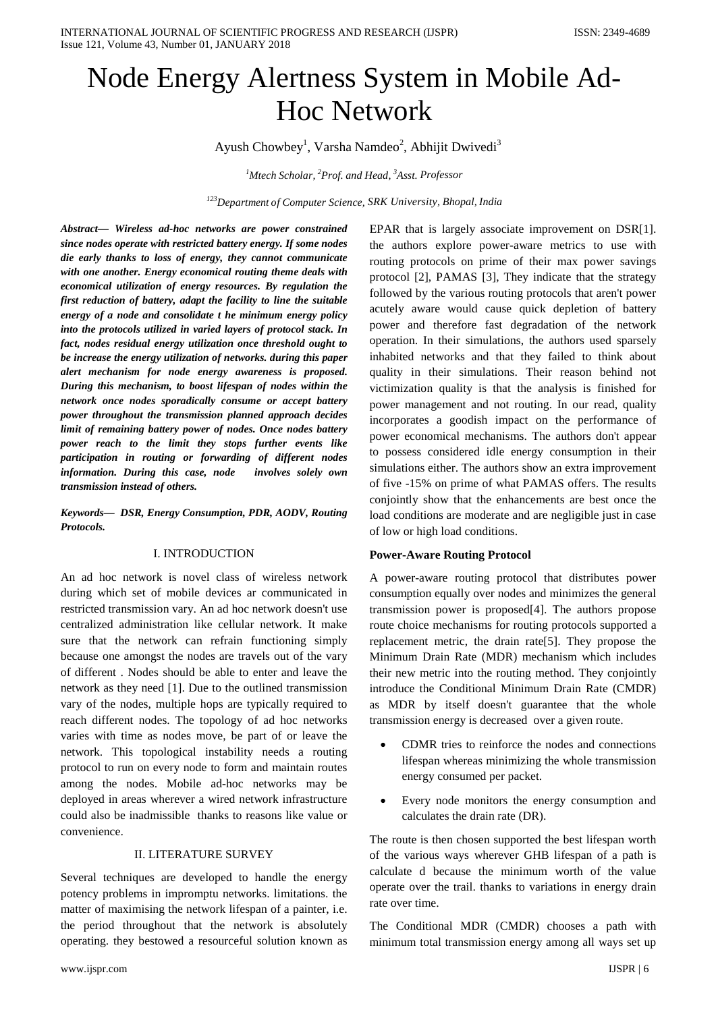# Node Energy Alertness System in Mobile Ad-Hoc Network

Ayush Chowbey<sup>1</sup>, Varsha Namdeo<sup>2</sup>, Abhijit Dwivedi<sup>3</sup>

*1 Mtech Scholar, <sup>2</sup> Prof. and Head, <sup>3</sup> Asst. Professor*

*123Department of Computer Science, SRK University, Bhopal, India*

*Abstract— Wireless ad-hoc networks are power constrained since nodes operate with restricted battery energy. If some nodes die early thanks to loss of energy, they cannot communicate with one another. Energy economical routing theme deals with economical utilization of energy resources. By regulation the first reduction of battery, adapt the facility to line the suitable energy of a node and consolidate t he minimum energy policy into the protocols utilized in varied layers of protocol stack. In fact, nodes residual energy utilization once threshold ought to be increase the energy utilization of networks. during this paper alert mechanism for node energy awareness is proposed. During this mechanism, to boost lifespan of nodes within the network once nodes sporadically consume or accept battery power throughout the transmission planned approach decides limit of remaining battery power of nodes. Once nodes battery power reach to the limit they stops further events like participation in routing or forwarding of different nodes information. During this case, node involves solely own transmission instead of others.*

*Keywords— DSR, Energy Consumption, PDR, AODV, Routing Protocols.*

## I. INTRODUCTION

An ad hoc network is novel class of wireless network during which set of mobile devices ar communicated in restricted transmission vary. An ad hoc network doesn't use centralized administration like cellular network. It make sure that the network can refrain functioning simply because one amongst the nodes are travels out of the vary of different . Nodes should be able to enter and leave the network as they need [1]. Due to the outlined transmission vary of the nodes, multiple hops are typically required to reach different nodes. The topology of ad hoc networks varies with time as nodes move, be part of or leave the network. This topological instability needs a routing protocol to run on every node to form and maintain routes among the nodes. Mobile ad-hoc networks may be deployed in areas wherever a wired network infrastructure could also be inadmissible thanks to reasons like value or convenience.

# II. LITERATURE SURVEY

Several techniques are developed to handle the energy potency problems in impromptu networks. limitations. the matter of maximising the network lifespan of a painter, i.e. the period throughout that the network is absolutely operating. they bestowed a resourceful solution known as EPAR that is largely associate improvement on DSR[1]. the authors explore power-aware metrics to use with routing protocols on prime of their max power savings protocol [2], PAMAS [3], They indicate that the strategy followed by the various routing protocols that aren't power acutely aware would cause quick depletion of battery power and therefore fast degradation of the network operation. In their simulations, the authors used sparsely inhabited networks and that they failed to think about quality in their simulations. Their reason behind not victimization quality is that the analysis is finished for power management and not routing. In our read, quality incorporates a goodish impact on the performance of power economical mechanisms. The authors don't appear to possess considered idle energy consumption in their simulations either. The authors show an extra improvement of five -15% on prime of what PAMAS offers. The results conjointly show that the enhancements are best once the load conditions are moderate and are negligible just in case of low or high load conditions.

#### **Power-Aware Routing Protocol**

A power-aware routing protocol that distributes power consumption equally over nodes and minimizes the general transmission power is proposed[4]. The authors propose route choice mechanisms for routing protocols supported a replacement metric, the drain rate[5]. They propose the Minimum Drain Rate (MDR) mechanism which includes their new metric into the routing method. They conjointly introduce the Conditional Minimum Drain Rate (CMDR) as MDR by itself doesn't guarantee that the whole transmission energy is decreased over a given route.

- CDMR tries to reinforce the nodes and connections lifespan whereas minimizing the whole transmission energy consumed per packet.
- Every node monitors the energy consumption and calculates the drain rate (DR).

The route is then chosen supported the best lifespan worth of the various ways wherever GHB lifespan of a path is calculate d because the minimum worth of the value operate over the trail. thanks to variations in energy drain rate over time.

The Conditional MDR (CMDR) chooses a path with minimum total transmission energy among all ways set up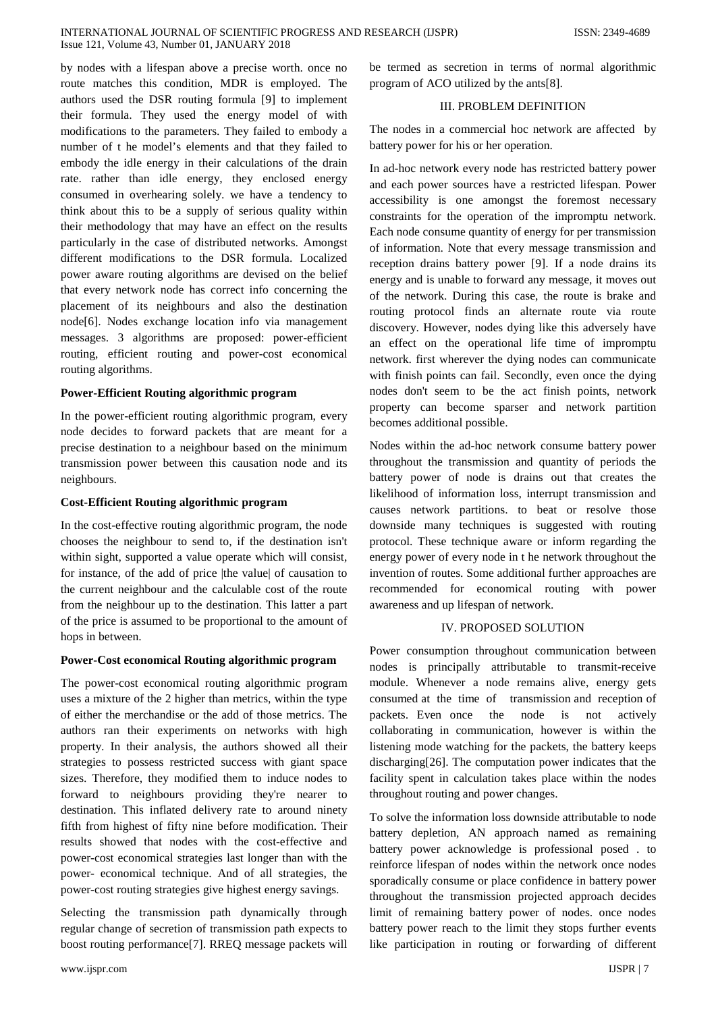by nodes with a lifespan above a precise worth. once no route matches this condition, MDR is employed. The authors used the DSR routing formula [9] to implement their formula. They used the energy model of with modifications to the parameters. They failed to embody a number of t he model's elements and that they failed to embody the idle energy in their calculations of the drain rate. rather than idle energy, they enclosed energy consumed in overhearing solely. we have a tendency to think about this to be a supply of serious quality within their methodology that may have an effect on the results particularly in the case of distributed networks. Amongst different modifications to the DSR formula. Localized power aware routing algorithms are devised on the belief that every network node has correct info concerning the placement of its neighbours and also the destination node[6]. Nodes exchange location info via management messages. 3 algorithms are proposed: power-efficient routing, efficient routing and power-cost economical routing algorithms.

# **Power-Efficient Routing algorithmic program**

In the power-efficient routing algorithmic program, every node decides to forward packets that are meant for a precise destination to a neighbour based on the minimum transmission power between this causation node and its neighbours.

#### **Cost-Efficient Routing algorithmic program**

In the cost-effective routing algorithmic program, the node chooses the neighbour to send to, if the destination isn't within sight, supported a value operate which will consist, for instance, of the add of price |the value| of causation to the current neighbour and the calculable cost of the route from the neighbour up to the destination. This latter a part of the price is assumed to be proportional to the amount of hops in between.

#### **Power-Cost economical Routing algorithmic program**

The power-cost economical routing algorithmic program uses a mixture of the 2 higher than metrics, within the type of either the merchandise or the add of those metrics. The authors ran their experiments on networks with high property. In their analysis, the authors showed all their strategies to possess restricted success with giant space sizes. Therefore, they modified them to induce nodes to forward to neighbours providing they're nearer to destination. This inflated delivery rate to around ninety fifth from highest of fifty nine before modification. Their results showed that nodes with the cost-effective and power-cost economical strategies last longer than with the power- economical technique. And of all strategies, the power-cost routing strategies give highest energy savings.

Selecting the transmission path dynamically through regular change of secretion of transmission path expects to boost routing performance[7]. RREQ message packets will be termed as secretion in terms of normal algorithmic program of ACO utilized by the ants[8].

## III. PROBLEM DEFINITION

The nodes in a commercial hoc network are affected by battery power for his or her operation.

In ad-hoc network every node has restricted battery power and each power sources have a restricted lifespan. Power accessibility is one amongst the foremost necessary constraints for the operation of the impromptu network. Each node consume quantity of energy for per transmission of information. Note that every message transmission and reception drains battery power [9]. If a node drains its energy and is unable to forward any message, it moves out of the network. During this case, the route is brake and routing protocol finds an alternate route via route discovery. However, nodes dying like this adversely have an effect on the operational life time of impromptu network. first wherever the dying nodes can communicate with finish points can fail. Secondly, even once the dying nodes don't seem to be the act finish points, network property can become sparser and network partition becomes additional possible.

Nodes within the ad-hoc network consume battery power throughout the transmission and quantity of periods the battery power of node is drains out that creates the likelihood of information loss, interrupt transmission and causes network partitions. to beat or resolve those downside many techniques is suggested with routing protocol. These technique aware or inform regarding the energy power of every node in t he network throughout the invention of routes. Some additional further approaches are recommended for economical routing with power awareness and up lifespan of network.

#### IV. PROPOSED SOLUTION

Power consumption throughout communication between nodes is principally attributable to transmit-receive module. Whenever a node remains alive, energy gets consumed at the time of transmission and reception of packets. Even once the node is not actively collaborating in communication, however is within the listening mode watching for the packets, the battery keeps discharging[26]. The computation power indicates that the facility spent in calculation takes place within the nodes throughout routing and power changes.

To solve the information loss downside attributable to node battery depletion, AN approach named as remaining battery power acknowledge is professional posed . to reinforce lifespan of nodes within the network once nodes sporadically consume or place confidence in battery power throughout the transmission projected approach decides limit of remaining battery power of nodes. once nodes battery power reach to the limit they stops further events like participation in routing or forwarding of different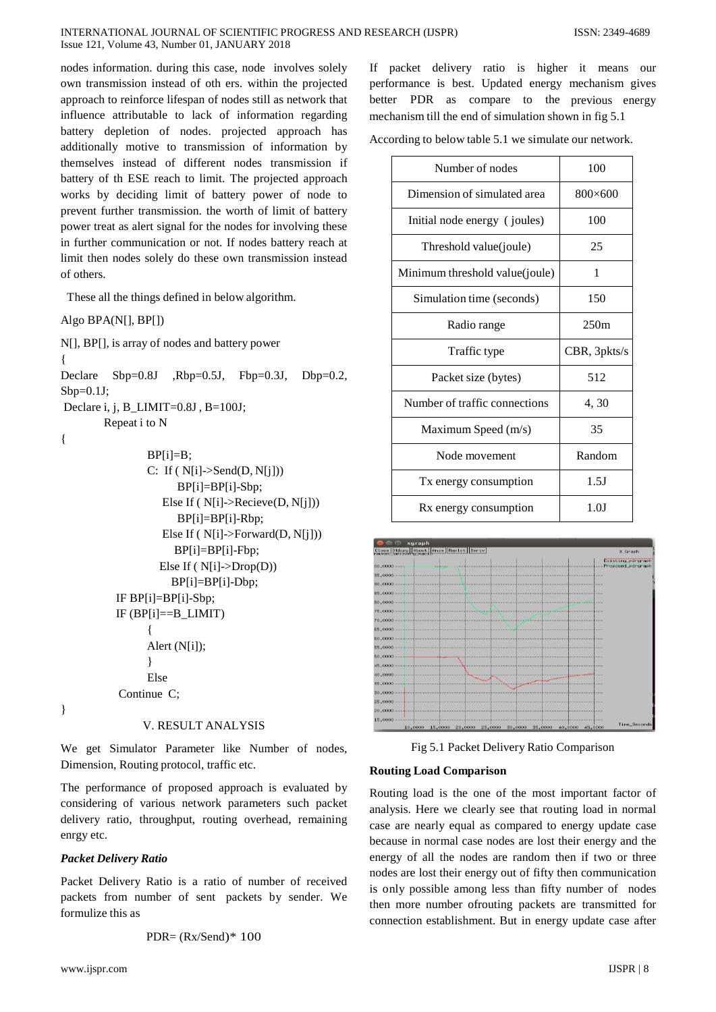nodes information. during this case, node involves solely own transmission instead of oth ers. within the projected approach to reinforce lifespan of nodes still as network that influence attributable to lack of information regarding battery depletion of nodes. projected approach has additionally motive to transmission of information by themselves instead of different nodes transmission if battery of th ESE reach to limit. The projected approach works by deciding limit of battery power of node to prevent further transmission. the worth of limit of battery power treat as alert signal for the nodes for involving these in further communication or not. If nodes battery reach at limit then nodes solely do these own transmission instead of others.

These all the things defined in below algorithm.

Algo BPA(N[], BP[])

N[], BP[], is array of nodes and battery power { Declare  $Sbp=0.8J$  ,  $Rbp=0.5J$ ,  $Fbp=0.3J$ ,  $Dbp=0.2$ ,  $Sbp = 0.1J$ : Declare i, j, B\_LIMIT=0.8J, B=100J; Repeat i to N {  $BP[i]=B$ ;

```
C: If (N[i]->Send(D, N[i]))
             BP[i]=BP[i]-Sbp;
          Else If ( N[i]->Recieve(D, N[j])) 
             BP[i]=BP[i]-Rbp;
         Else If ( N[i]->Forward(D, N[j])) 
            BP[i]=BP[i]-Fbp;
         Else If ( N[i]->Drop(D)) 
           BP[i]=BP[i]-Dbp;
IF BP[i]=BP[i]-Sbp; 
IF (BP[i]==B_LIMIT)
     {
     Alert (N[i]);
     }
     Else
Continue C;
```
#### V. RESULT ANALYSIS

We get Simulator Parameter like Number of nodes, Dimension, Routing protocol, traffic etc.

The performance of proposed approach is evaluated by considering of various network parameters such packet delivery ratio, throughput, routing overhead, remaining enrgy etc.

## *Packet Delivery Ratio*

}

Packet Delivery Ratio is a ratio of number of received packets from number of sent packets by sender. We formulize this as

$$
PDR = (Rx/Send)^* 100
$$

If packet delivery ratio is higher it means our performance is best. Updated energy mechanism gives better PDR as compare to the previous energy mechanism till the end of simulation shown in fig 5.1

According to below table 5.1 we simulate our network.

| Number of nodes                | 100             |
|--------------------------------|-----------------|
| Dimension of simulated area    | $800\times 600$ |
| Initial node energy (joules)   | 100             |
| Threshold value(joule)         | 25              |
| Minimum threshold value(joule) | 1               |
| Simulation time (seconds)      | 150             |
| Radio range                    | 250m            |
|                                |                 |
| Traffic type                   | CBR, 3pkts/s    |
| Packet size (bytes)            | 512             |
| Number of traffic connections  | 4, 30           |
| Maximum Speed (m/s)            | 35              |
| Node movement                  | Random          |
| Tx energy consumption          | 1.5J            |



Fig 5.1 Packet Delivery Ratio Comparison

#### **Routing Load Comparison**

Routing load is the one of the most important factor of analysis. Here we clearly see that routing load in normal case are nearly equal as compared to energy update case because in normal case nodes are lost their energy and the energy of all the nodes are random then if two or three nodes are lost their energy out of fifty then communication is only possible among less than fifty number of nodes then more number ofrouting packets are transmitted for connection establishment. But in energy update case after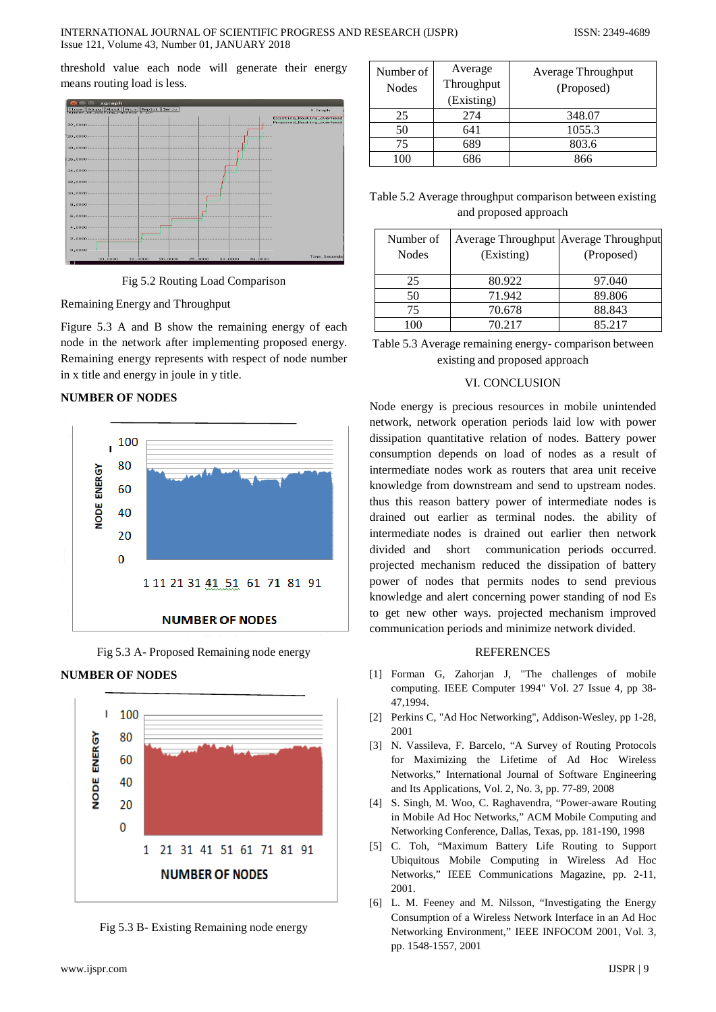threshold value each node will generate their energy means routing load is less.



Fig 5.2 Routing Load Comparison

Remaining Energy and Throughput

Figure 5.3 A and B show the remaining energy of each node in the network after implementing proposed energy. Remaining energy represents with respect of node number in x title and energy in joule in y title.

# **NUMBER OF NODES**



Fig 5.3 A- Proposed Remaining node energy





Fig 5.3 B- Existing Remaining node energy

| Number of<br>Nodes | Average<br>Throughput<br>(Existing) | Average Throughput<br>(Proposed) |
|--------------------|-------------------------------------|----------------------------------|
| 25                 | 274                                 | 348.07                           |
| 50                 | 641                                 | 1055.3                           |
| 75                 | 689                                 | 803.6                            |
|                    | 686                                 | 866                              |

Table 5.2 Average throughput comparison between existing and proposed approach

| Number of<br><b>Nodes</b> | Average Throughput Average Throughput<br>(Existing) | (Proposed) |
|---------------------------|-----------------------------------------------------|------------|
| 25                        | 80.922                                              | 97.040     |
| 50                        | 71.942                                              | 89.806     |
| 75                        | 70.678                                              | 88.843     |
| 100                       | 70.217                                              | 85.217     |

Table 5.3 Average remaining energy- comparison between existing and proposed approach

#### VI. CONCLUSION

Node energy is precious resources in mobile unintended network, network operation periods laid low with power dissipation quantitative relation of nodes. Battery power consumption depends on load of nodes as a result of intermediate nodes work as routers that area unit receive knowledge from downstream and send to upstream nodes. thus this reason battery power of intermediate nodes is drained out earlier as terminal nodes. the ability of intermediate nodes is drained out earlier then network divided and short communication periods occurred. projected mechanism reduced the dissipation of battery power of nodes that permits nodes to send previous knowledge and alert concerning power standing of nod Es to get new other ways. projected mechanism improved communication periods and minimize network divided.

# **REFERENCES**

- [1] Forman G, Zahorjan J, "The challenges of mobile computing. IEEE Computer 1994" Vol. 27 Issue 4, pp 38- 47,1994.
- [2] Perkins C, "Ad Hoc Networking", Addison-Wesley, pp 1-28, 2001
- [3] N. Vassileva, F. Barcelo, "A Survey of Routing Protocols for Maximizing the Lifetime of Ad Hoc Wireless Networks," International Journal of Software Engineering and Its Applications, Vol. 2, No. 3, pp. 77-89, 2008
- [4] S. Singh, M. Woo, C. Raghavendra, "Power-aware Routing in Mobile Ad Hoc Networks," ACM Mobile Computing and Networking Conference, Dallas, Texas, pp. 181-190, 1998
- [5] C. Toh, "Maximum Battery Life Routing to Support Ubiquitous Mobile Computing in Wireless Ad Hoc Networks," IEEE Communications Magazine, pp. 2-11, 2001.
- [6] L. M. Feeney and M. Nilsson, "Investigating the Energy Consumption of a Wireless Network Interface in an Ad Hoc Networking Environment," IEEE INFOCOM 2001, Vol. 3, pp. 1548-1557, 2001